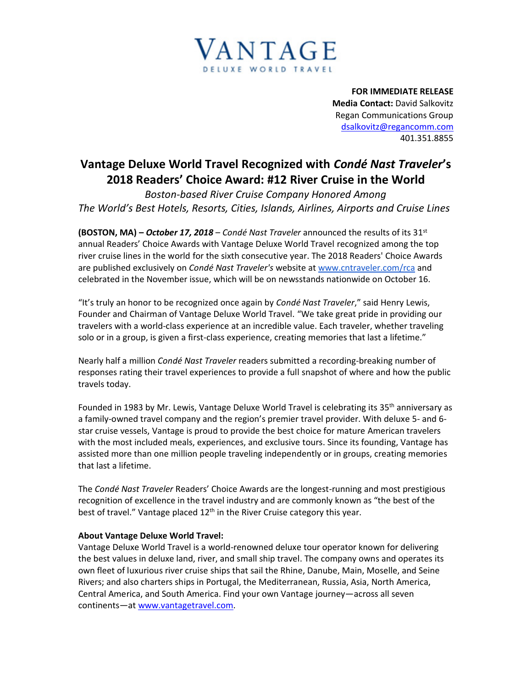

**FOR IMMEDIATE RELEASE Media Contact:** David Salkovitz Regan Communications Group [dsalkovitz@regancomm.com](mailto:dsalkovitz@regancomm.com) 401.351.8855

## **Vantage Deluxe World Travel Recognized with** *Condé Nast Traveler***'s 2018 Readers' Choice Award: #12 River Cruise in the World**

*Boston-based River Cruise Company Honored Among The World's Best Hotels, Resorts, Cities, Islands, Airlines, Airports and Cruise Lines* 

**(BOSTON, MA) –** *October 17, 2018* – *Condé Nast Traveler* announced the results of its 31st annual Readers' Choice Awards with Vantage Deluxe World Travel recognized among the top river cruise lines in the world for the sixth consecutive year. The 2018 Readers' Choice Awards are published exclusively on *Condé Nast Traveler's* website at [www.cntraveler.com/rca](http://www.cntraveler.com/rca) and celebrated in the November issue, which will be on newsstands nationwide on October 16.

"It's truly an honor to be recognized once again by *Condé Nast Traveler*," said Henry Lewis, Founder and Chairman of Vantage Deluxe World Travel. "We take great pride in providing our travelers with a world-class experience at an incredible value. Each traveler, whether traveling solo or in a group, is given a first-class experience, creating memories that last a lifetime."

Nearly half a million *Condé Nast Traveler* readers submitted a recording-breaking number of responses rating their travel experiences to provide a full snapshot of where and how the public travels today.

Founded in 1983 by Mr. Lewis, Vantage Deluxe World Travel is celebrating its 35<sup>th</sup> anniversary as a family-owned travel company and the region's premier travel provider. With deluxe 5- and 6 star cruise vessels, Vantage is proud to provide the best choice for mature American travelers with the most included meals, experiences, and exclusive tours. Since its founding, Vantage has assisted more than one million people traveling independently or in groups, creating memories that last a lifetime.

The *Condé Nast Traveler* Readers' Choice Awards are the longest-running and most prestigious recognition of excellence in the travel industry and are commonly known as "the best of the best of travel." Vantage placed  $12<sup>th</sup>$  in the River Cruise category this year.

## **About Vantage Deluxe World Travel:**

Vantage Deluxe World Travel is a world-renowned deluxe tour operator known for delivering the best values in deluxe land, river, and small ship travel. The company owns and operates its own fleet of luxurious river cruise ships that sail the Rhine, Danube, Main, Moselle, and Seine Rivers; and also charters ships in Portugal, the Mediterranean, Russia, Asia, North America, Central America, and South America. Find your own Vantage journey—across all seven continents—at [www.vantagetravel.com.](http://www.vantagetravel.com/)